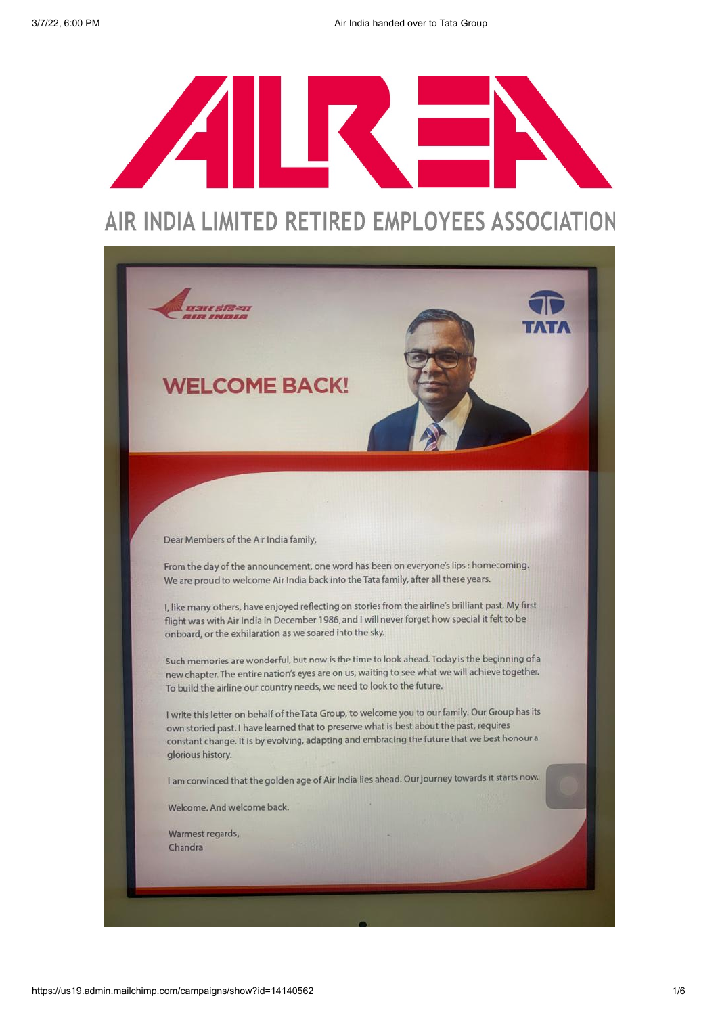

# AIR INDIA LIMITED RETIRED EMPLOYEES ASSOCIATION

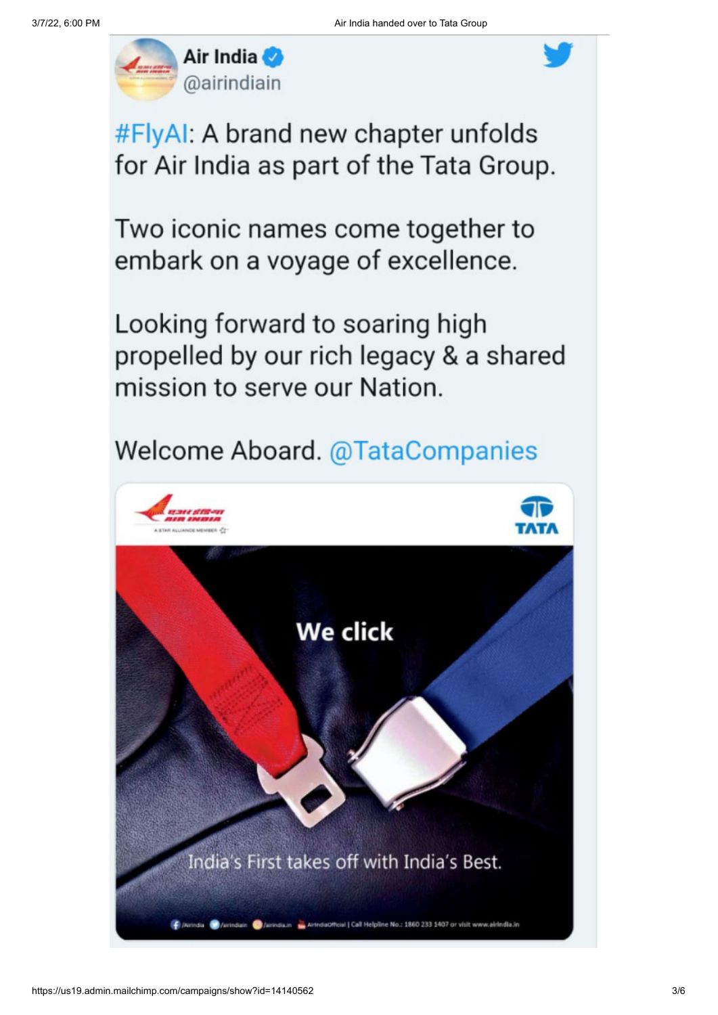

#FlyAI: A brand new chapter unfolds for Air India as part of the Tata Group.

Two iconic names come together to embark on a voyage of excellence.

Looking forward to soaring high propelled by our rich legacy & a shared mission to serve our Nation.

# **Welcome Aboard. @TataCompanies**

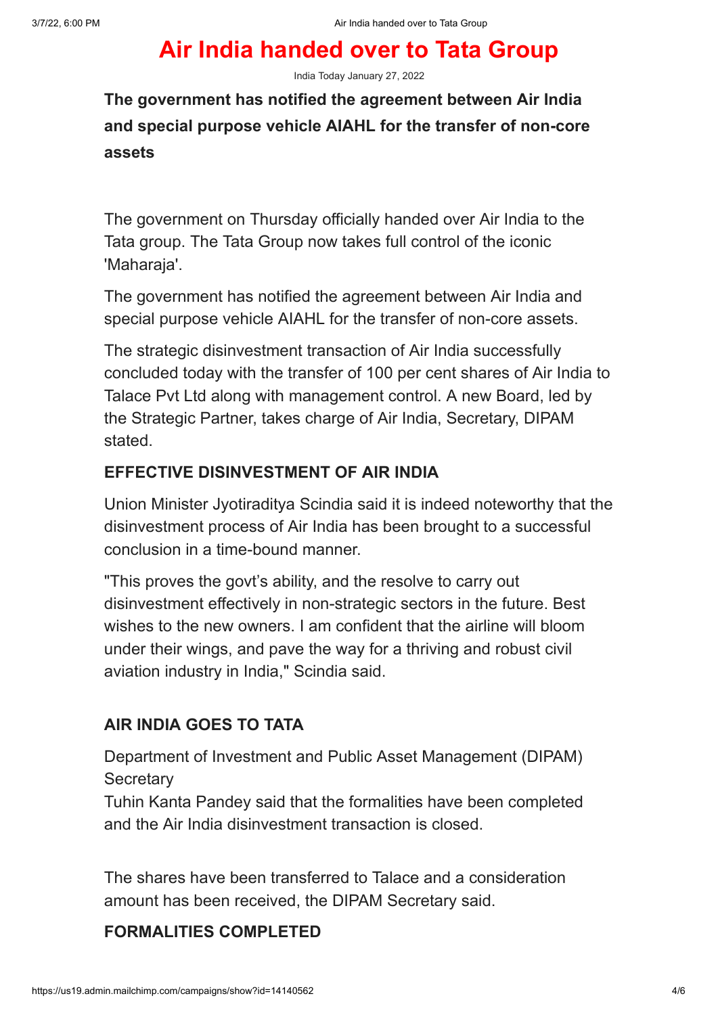## Air India handed over to Tata Group

India Today January 27, 2022

The government has notified the agreement between Air India and special purpose vehicle AIAHL for the transfer of non-core assets

The government on Thursday officially handed over Air India to the Tata group. The Tata Group now takes full control of the iconic 'Maharaja'.

The government has notified the agreement between Air India and special purpose vehicle AIAHL for the transfer of non-core assets.

The strategic disinvestment transaction of Air India successfully concluded today with the transfer of 100 per cent shares of Air India to Talace Pvt Ltd along with management control. A new Board, led by the Strategic Partner, takes charge of Air India, Secretary, DIPAM stated.

## EFFECTIVE DISINVESTMENT OF AIR INDIA

Union Minister Jyotiraditya Scindia said it is indeed noteworthy that the disinvestment process of Air India has been brought to a successful conclusion in a time-bound manner.

"This proves the govt's ability, and the resolve to carry out disinvestment effectively in non-strategic sectors in the future. Best wishes to the new owners. I am confident that the airline will bloom under their wings, and pave the way for a thriving and robust civil aviation industry in India," Scindia said.

## AIR INDIA GOES TO TATA

Department of Investment and Public Asset Management (DIPAM) **Secretary** 

Tuhin Kanta Pandey said that the formalities have been completed and the Air India disinvestment transaction is closed.

The shares have been transferred to Talace and a consideration amount has been received, the DIPAM Secretary said.

#### FORMALITIES COMPLETED